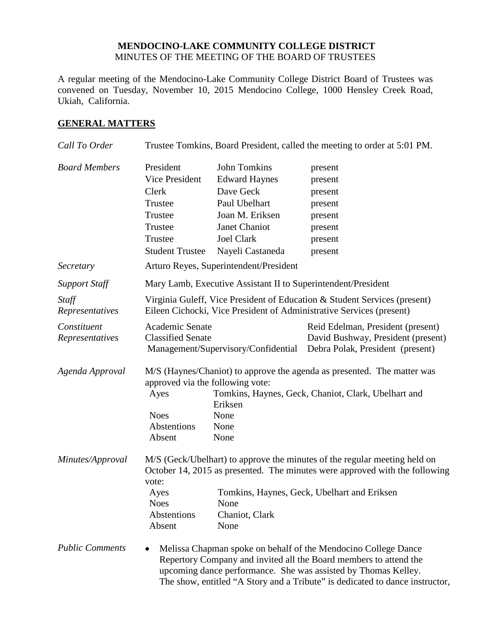#### **MENDOCINO-LAKE COMMUNITY COLLEGE DISTRICT** MINUTES OF THE MEETING OF THE BOARD OF TRUSTEES

A regular meeting of the Mendocino-Lake Community College District Board of Trustees was convened on Tuesday, November 10, 2015 Mendocino College, 1000 Hensley Creek Road, Ukiah, California.

#### **GENERAL MATTERS**

| Call To Order                  | Trustee Tomkins, Board President, called the meeting to order at 5:01 PM.                                                                                                                                                                                                                          |                                                                                                                                                        |                                                                                                                                                                                                                                                                                       |  |
|--------------------------------|----------------------------------------------------------------------------------------------------------------------------------------------------------------------------------------------------------------------------------------------------------------------------------------------------|--------------------------------------------------------------------------------------------------------------------------------------------------------|---------------------------------------------------------------------------------------------------------------------------------------------------------------------------------------------------------------------------------------------------------------------------------------|--|
| <b>Board Members</b>           | President<br>Vice President<br>Clerk<br>Trustee<br>Trustee<br>Trustee<br>Trustee<br><b>Student Trustee</b>                                                                                                                                                                                         | <b>John Tomkins</b><br><b>Edward Haynes</b><br>Dave Geck<br>Paul Ubelhart<br>Joan M. Eriksen<br>Janet Chaniot<br><b>Joel Clark</b><br>Nayeli Castaneda | present<br>present<br>present<br>present<br>present<br>present<br>present<br>present                                                                                                                                                                                                  |  |
| Secretary                      | Arturo Reyes, Superintendent/President                                                                                                                                                                                                                                                             |                                                                                                                                                        |                                                                                                                                                                                                                                                                                       |  |
| <b>Support Staff</b>           | Mary Lamb, Executive Assistant II to Superintendent/President                                                                                                                                                                                                                                      |                                                                                                                                                        |                                                                                                                                                                                                                                                                                       |  |
| Staff<br>Representatives       | Virginia Guleff, Vice President of Education & Student Services (present)<br>Eileen Cichocki, Vice President of Administrative Services (present)                                                                                                                                                  |                                                                                                                                                        |                                                                                                                                                                                                                                                                                       |  |
| Constituent<br>Representatives | Academic Senate<br><b>Classified Senate</b>                                                                                                                                                                                                                                                        | Management/Supervisory/Confidential                                                                                                                    | Reid Edelman, President (present)<br>David Bushway, President (present)<br>Debra Polak, President (present)                                                                                                                                                                           |  |
| Agenda Approval                | approved via the following vote:<br>Ayes<br><b>Noes</b><br>Abstentions<br>Absent                                                                                                                                                                                                                   | Eriksen<br>None<br>None<br>None                                                                                                                        | M/S (Haynes/Chaniot) to approve the agenda as presented. The matter was<br>Tomkins, Haynes, Geck, Chaniot, Clark, Ubelhart and                                                                                                                                                        |  |
| Minutes/Approval               | M/S (Geck/Ubelhart) to approve the minutes of the regular meeting held on<br>October 14, 2015 as presented. The minutes were approved with the following<br>vote:<br>Tomkins, Haynes, Geck, Ubelhart and Eriksen<br>Ayes<br><b>Noes</b><br>None<br>Abstentions<br>Chaniot, Clark<br>Absent<br>None |                                                                                                                                                        |                                                                                                                                                                                                                                                                                       |  |
| <b>Public Comments</b>         |                                                                                                                                                                                                                                                                                                    |                                                                                                                                                        | Melissa Chapman spoke on behalf of the Mendocino College Dance<br>Repertory Company and invited all the Board members to attend the<br>upcoming dance performance. She was assisted by Thomas Kelley.<br>The show, entitled "A Story and a Tribute" is dedicated to dance instructor, |  |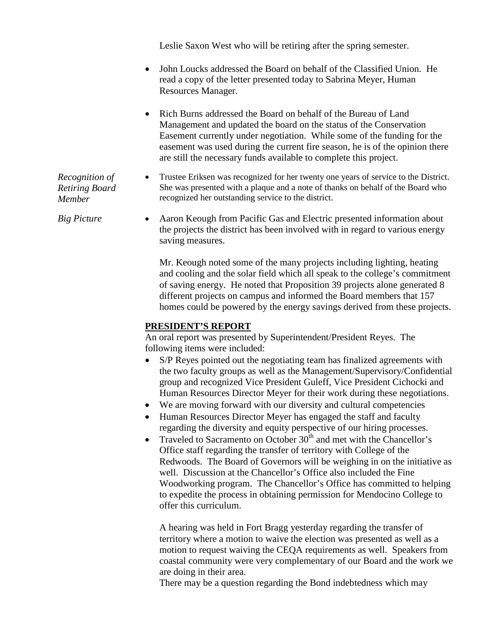Leslie Saxon West who will be retiring after the spring semester.

- John Loucks addressed the Board on behalf of the Classified Union. He read a copy of the letter presented today to Sabrina Meyer, Human Resources Manager.
- Rich Burns addressed the Board on behalf of the Bureau of Land Management and updated the board on the status of the Conservation Easement currently under negotiation. While some of the funding for the easement was used during the current fire season, he is of the opinion there are still the necessary funds available to complete this project.
- *Recognition of Retiring Board Member* • Trustee Eriksen was recognized for her twenty one years of service to the District. She was presented with a plaque and a note of thanks on behalf of the Board who recognized her outstanding service to the district.
- *Big Picture* Aaron Keough from Pacific Gas and Electric presented information about the projects the district has been involved with in regard to various energy saving measures.

Mr. Keough noted some of the many projects including lighting, heating and cooling and the solar field which all speak to the college's commitment of saving energy. He noted that Proposition 39 projects alone generated 8 different projects on campus and informed the Board members that 157 homes could be powered by the energy savings derived from these projects.

#### **PRESIDENT'S REPORT**

An oral report was presented by Superintendent/President Reyes. The following items were included:

- S/P Reyes pointed out the negotiating team has finalized agreements with the two faculty groups as well as the Management/Supervisory/Confidential group and recognized Vice President Guleff, Vice President Cichocki and Human Resources Director Meyer for their work during these negotiations.
- We are moving forward with our diversity and cultural competencies
- Human Resources Director Meyer has engaged the staff and faculty regarding the diversity and equity perspective of our hiring processes.
- Traveled to Sacramento on October  $30<sup>th</sup>$  and met with the Chancellor's Office staff regarding the transfer of territory with College of the Redwoods. The Board of Governors will be weighing in on the initiative as well. Discussion at the Chancellor's Office also included the Fine Woodworking program. The Chancellor's Office has committed to helping to expedite the process in obtaining permission for Mendocino College to offer this curriculum.

A hearing was held in Fort Bragg yesterday regarding the transfer of territory where a motion to waive the election was presented as well as a motion to request waiving the CEQA requirements as well. Speakers from coastal community were very complementary of our Board and the work we are doing in their area.

There may be a question regarding the Bond indebtedness which may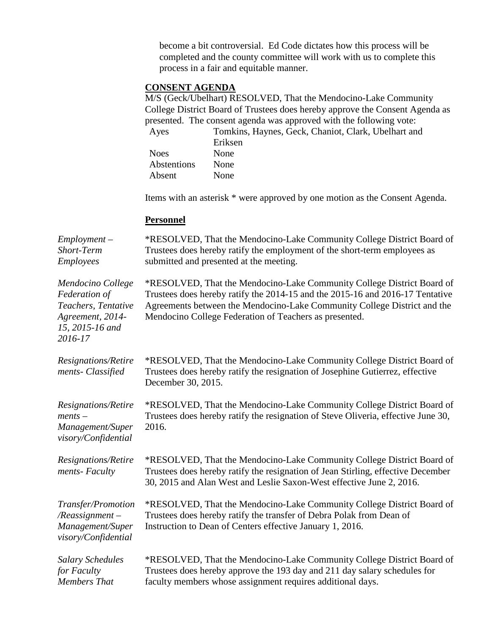become a bit controversial. Ed Code dictates how this process will be completed and the county committee will work with us to complete this process in a fair and equitable manner.

#### **CONSENT AGENDA**

M/S (Geck/Ubelhart) RESOLVED, That the Mendocino-Lake Community College District Board of Trustees does hereby approve the Consent Agenda as presented. The consent agenda was approved with the following vote:

| Ayes        | Tomkins, Haynes, Geck, Chaniot, Clark, Ubelhart and |
|-------------|-----------------------------------------------------|
|             | Eriksen                                             |
| <b>Noes</b> | <b>None</b>                                         |
| Abstentions | <b>None</b>                                         |
| Absent      | None                                                |

Items with an asterisk \* were approved by one motion as the Consent Agenda.

#### **Personnel**

*Employment – Short-Term Employees* \*RESOLVED, That the Mendocino-Lake Community College District Board of Trustees does hereby ratify the employment of the short-term employees as submitted and presented at the meeting. *Mendocino College Federation of Teachers, Tentative Agreement, 2014- 15, 2015-16 and 2016-17* \*RESOLVED, That the Mendocino-Lake Community College District Board of Trustees does hereby ratify the 2014-15 and the 2015-16 and 2016-17 Tentative Agreements between the Mendocino-Lake Community College District and the Mendocino College Federation of Teachers as presented. *Resignations/Retire ments- Classified* \*RESOLVED, That the Mendocino-Lake Community College District Board of Trustees does hereby ratify the resignation of Josephine Gutierrez, effective December 30, 2015. *Resignations/Retire ments – Management/Super visory/Confidential* \*RESOLVED, That the Mendocino-Lake Community College District Board of Trustees does hereby ratify the resignation of Steve Oliveria, effective June 30, 2016. *Resignations/Retire ments- Faculty* \*RESOLVED, That the Mendocino-Lake Community College District Board of Trustees does hereby ratify the resignation of Jean Stirling, effective December 30, 2015 and Alan West and Leslie Saxon-West effective June 2, 2016. *Transfer/Promotion /Reassignment – Management/Super visory/Confidential* \*RESOLVED, That the Mendocino-Lake Community College District Board of Trustees does hereby ratify the transfer of Debra Polak from Dean of Instruction to Dean of Centers effective January 1, 2016. *Salary Schedules for Faculty Members That*  \*RESOLVED, That the Mendocino-Lake Community College District Board of Trustees does hereby approve the 193 day and 211 day salary schedules for faculty members whose assignment requires additional days.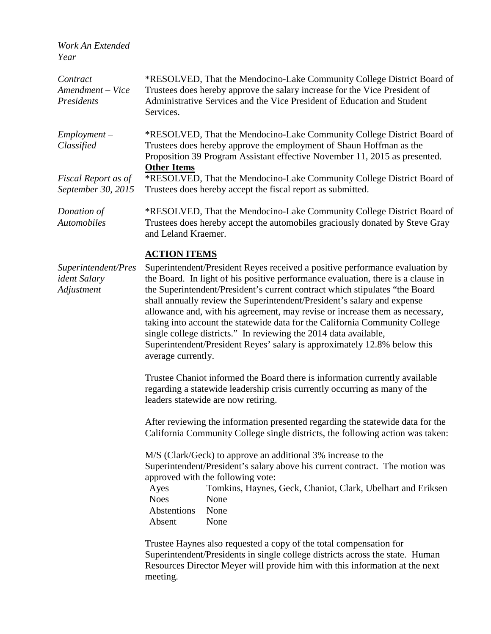*Work An Extended Year*

| Contract<br>Amendment - Vice<br>Presidents        | *RESOLVED, That the Mendocino-Lake Community College District Board of<br>Trustees does hereby approve the salary increase for the Vice President of<br>Administrative Services and the Vice President of Education and Student<br>Services.                                                                                                                                                                                                                                                                                                                                                                                                                    |  |
|---------------------------------------------------|-----------------------------------------------------------------------------------------------------------------------------------------------------------------------------------------------------------------------------------------------------------------------------------------------------------------------------------------------------------------------------------------------------------------------------------------------------------------------------------------------------------------------------------------------------------------------------------------------------------------------------------------------------------------|--|
| $Employment -$<br>Classified                      | *RESOLVED, That the Mendocino-Lake Community College District Board of<br>Trustees does hereby approve the employment of Shaun Hoffman as the<br>Proposition 39 Program Assistant effective November 11, 2015 as presented.                                                                                                                                                                                                                                                                                                                                                                                                                                     |  |
| Fiscal Report as of<br>September 30, 2015         | <b>Other Items</b><br>*RESOLVED, That the Mendocino-Lake Community College District Board of<br>Trustees does hereby accept the fiscal report as submitted.                                                                                                                                                                                                                                                                                                                                                                                                                                                                                                     |  |
| Donation of<br><b>Automobiles</b>                 | *RESOLVED, That the Mendocino-Lake Community College District Board of<br>Trustees does hereby accept the automobiles graciously donated by Steve Gray<br>and Leland Kraemer.                                                                                                                                                                                                                                                                                                                                                                                                                                                                                   |  |
|                                                   | <b>ACTION ITEMS</b>                                                                                                                                                                                                                                                                                                                                                                                                                                                                                                                                                                                                                                             |  |
| Superintendent/Pres<br>ident Salary<br>Adjustment | Superintendent/President Reyes received a positive performance evaluation by<br>the Board. In light of his positive performance evaluation, there is a clause in<br>the Superintendent/President's current contract which stipulates "the Board<br>shall annually review the Superintendent/President's salary and expense<br>allowance and, with his agreement, may revise or increase them as necessary,<br>taking into account the statewide data for the California Community College<br>single college districts." In reviewing the 2014 data available,<br>Superintendent/President Reyes' salary is approximately 12.8% below this<br>average currently. |  |
|                                                   | Trustee Chaniot informed the Board there is information currently available<br>regarding a statewide leadership crisis currently occurring as many of the<br>leaders statewide are now retiring.                                                                                                                                                                                                                                                                                                                                                                                                                                                                |  |
|                                                   | After reviewing the information presented regarding the statewide data for the<br>California Community College single districts, the following action was taken:                                                                                                                                                                                                                                                                                                                                                                                                                                                                                                |  |

M/S (Clark/Geck) to approve an additional 3% increase to the Superintendent/President's salary above his current contract. The motion was approved with the following vote:

Ayes Tomkins, Haynes, Geck, Chaniot, Clark, Ubelhart and Eriksen Noes None Abstentions None Absent None

Trustee Haynes also requested a copy of the total compensation for Superintendent/Presidents in single college districts across the state. Human Resources Director Meyer will provide him with this information at the next meeting.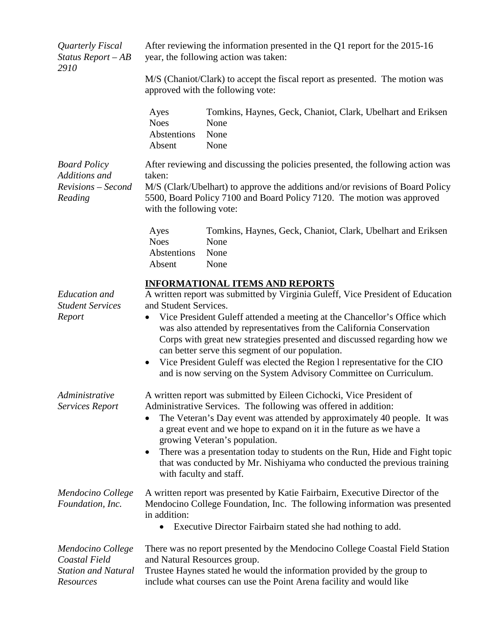| Quarterly Fiscal<br>Status Report $-AB$<br>2910                               | After reviewing the information presented in the Q1 report for the 2015-16<br>year, the following action was taken:                                                                                                                                                                                                                                                                                                                                                                                                                                                                                     |                                                                                                                                                                                                                                 |  |  |
|-------------------------------------------------------------------------------|---------------------------------------------------------------------------------------------------------------------------------------------------------------------------------------------------------------------------------------------------------------------------------------------------------------------------------------------------------------------------------------------------------------------------------------------------------------------------------------------------------------------------------------------------------------------------------------------------------|---------------------------------------------------------------------------------------------------------------------------------------------------------------------------------------------------------------------------------|--|--|
|                                                                               | M/S (Chaniot/Clark) to accept the fiscal report as presented. The motion was<br>approved with the following vote:                                                                                                                                                                                                                                                                                                                                                                                                                                                                                       |                                                                                                                                                                                                                                 |  |  |
|                                                                               | Ayes<br><b>Noes</b><br>Abstentions<br>Absent                                                                                                                                                                                                                                                                                                                                                                                                                                                                                                                                                            | Tomkins, Haynes, Geck, Chaniot, Clark, Ubelhart and Eriksen<br>None<br>None<br>None                                                                                                                                             |  |  |
| <b>Board Policy</b><br>Additions and<br>Revisions – Second<br>Reading         | After reviewing and discussing the policies presented, the following action was<br>taken:<br>M/S (Clark/Ubelhart) to approve the additions and/or revisions of Board Policy<br>5500, Board Policy 7100 and Board Policy 7120. The motion was approved<br>with the following vote:                                                                                                                                                                                                                                                                                                                       |                                                                                                                                                                                                                                 |  |  |
|                                                                               | Ayes<br><b>Noes</b><br>Abstentions<br>Absent                                                                                                                                                                                                                                                                                                                                                                                                                                                                                                                                                            | Tomkins, Haynes, Geck, Chaniot, Clark, Ubelhart and Eriksen<br>None<br>None<br>None                                                                                                                                             |  |  |
| <b>Education</b> and<br><b>Student Services</b><br>Report                     | <b>INFORMATIONAL ITEMS AND REPORTS</b><br>A written report was submitted by Virginia Guleff, Vice President of Education<br>and Student Services.<br>Vice President Guleff attended a meeting at the Chancellor's Office which<br>$\bullet$<br>was also attended by representatives from the California Conservation<br>Corps with great new strategies presented and discussed regarding how we<br>can better serve this segment of our population.<br>Vice President Guleff was elected the Region l representative for the CIO<br>and is now serving on the System Advisory Committee on Curriculum. |                                                                                                                                                                                                                                 |  |  |
| Administrative<br><b>Services Report</b>                                      | A written report was submitted by Eileen Cichocki, Vice President of<br>Administrative Services. The following was offered in addition:<br>The Veteran's Day event was attended by approximately 40 people. It was<br>$\bullet$<br>a great event and we hope to expand on it in the future as we have a<br>growing Veteran's population.<br>There was a presentation today to students on the Run, Hide and Fight topic<br>that was conducted by Mr. Nishiyama who conducted the previous training<br>with faculty and staff.                                                                           |                                                                                                                                                                                                                                 |  |  |
| Mendocino College<br>Foundation, Inc.                                         | in addition:                                                                                                                                                                                                                                                                                                                                                                                                                                                                                                                                                                                            | A written report was presented by Katie Fairbairn, Executive Director of the<br>Mendocino College Foundation, Inc. The following information was presented<br>Executive Director Fairbairn stated she had nothing to add.       |  |  |
| Mendocino College<br>Coastal Field<br><b>Station and Natural</b><br>Resources | and Natural Resources group.                                                                                                                                                                                                                                                                                                                                                                                                                                                                                                                                                                            | There was no report presented by the Mendocino College Coastal Field Station<br>Trustee Haynes stated he would the information provided by the group to<br>include what courses can use the Point Arena facility and would like |  |  |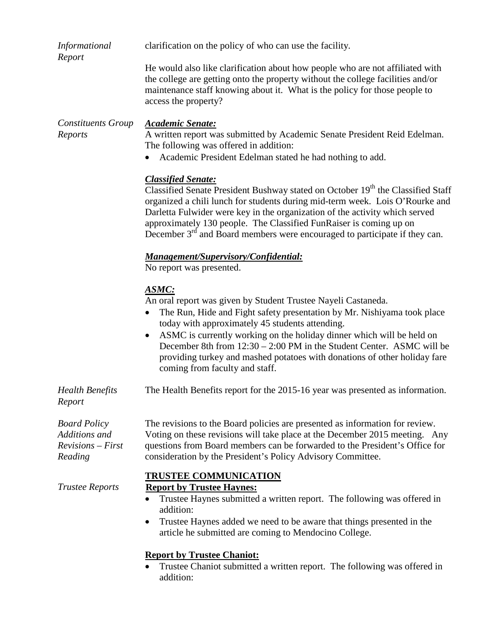| Informational                                                          | clarification on the policy of who can use the facility.                                                                                                                                                                                                                                                                                                                                                                                                              |  |  |
|------------------------------------------------------------------------|-----------------------------------------------------------------------------------------------------------------------------------------------------------------------------------------------------------------------------------------------------------------------------------------------------------------------------------------------------------------------------------------------------------------------------------------------------------------------|--|--|
| Report                                                                 | He would also like clarification about how people who are not affiliated with<br>the college are getting onto the property without the college facilities and/or<br>maintenance staff knowing about it. What is the policy for those people to<br>access the property?                                                                                                                                                                                                |  |  |
| <b>Constituents Group</b><br>Reports                                   | <b>Academic Senate:</b><br>A written report was submitted by Academic Senate President Reid Edelman.<br>The following was offered in addition:<br>Academic President Edelman stated he had nothing to add.                                                                                                                                                                                                                                                            |  |  |
|                                                                        | <b>Classified Senate:</b><br>Classified Senate President Bushway stated on October 19th the Classified Staff<br>organized a chili lunch for students during mid-term week. Lois O'Rourke and<br>Darletta Fulwider were key in the organization of the activity which served<br>approximately 130 people. The Classified FunRaiser is coming up on<br>December $3rd$ and Board members were encouraged to participate if they can.                                     |  |  |
|                                                                        | Management/Supervisory/Confidential:<br>No report was presented.                                                                                                                                                                                                                                                                                                                                                                                                      |  |  |
|                                                                        | ASMC:<br>An oral report was given by Student Trustee Nayeli Castaneda.<br>The Run, Hide and Fight safety presentation by Mr. Nishiyama took place<br>today with approximately 45 students attending.<br>ASMC is currently working on the holiday dinner which will be held on<br>December 8th from 12:30 – 2:00 PM in the Student Center. ASMC will be<br>providing turkey and mashed potatoes with donations of other holiday fare<br>coming from faculty and staff. |  |  |
| <b>Health Benefits</b><br>Report                                       | The Health Benefits report for the 2015-16 year was presented as information.                                                                                                                                                                                                                                                                                                                                                                                         |  |  |
| <b>Board Policy</b><br>Additions and<br>$Revisions - First$<br>Reading | The revisions to the Board policies are presented as information for review.<br>Voting on these revisions will take place at the December 2015 meeting. Any<br>questions from Board members can be forwarded to the President's Office for<br>consideration by the President's Policy Advisory Committee.                                                                                                                                                             |  |  |
| <b>Trustee Reports</b>                                                 | <b>TRUSTEE COMMUNICATION</b><br><b>Report by Trustee Haynes:</b><br>Trustee Haynes submitted a written report. The following was offered in<br>$\bullet$<br>addition:<br>Trustee Haynes added we need to be aware that things presented in the<br>$\bullet$<br>article he submitted are coming to Mendocino College.<br><b>Report by Trustee Chaniot:</b>                                                                                                             |  |  |
|                                                                        | Trustee Chaniot submitted a written report. The following was offered in<br>addition:                                                                                                                                                                                                                                                                                                                                                                                 |  |  |